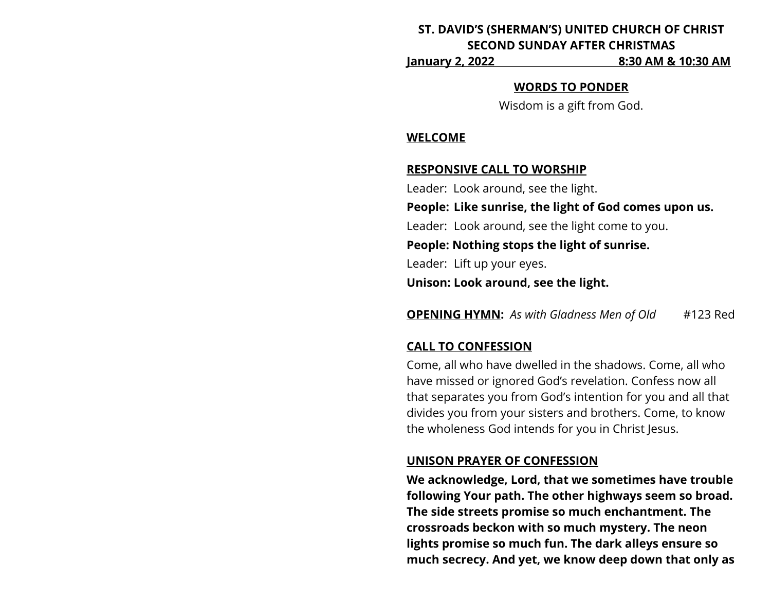# **ST. DAVID'S (SHERMAN'S) UNITED CHURCH OF CHRIST SECOND SUNDAY AFTER CHRISTMAS**

**January 2, 2022 8:30 AM & 10:30 AM**

#### **WORDS TO PONDER**

Wisdom is a gift from God.

#### **WELCOME**

### **RESPONSIVE CALL TO WORSHIP**

Leader: Look around, see the light.

**People: Like sunrise, the light of God comes upon us.**

Leader: Look around, see the light come to you.

**People: Nothing stops the light of sunrise.**

Leader: Lift up your eyes.

**Unison: Look around, see the light.**

**OPENING HYMN:** *As with Gladness Men of Old* #123 Red

#### **CALL TO CONFESSION**

Come, all who have dwelled in the shadows. Come, all who have missed or ignored God's revelation. Confess now all that separates you from God's intention for you and all that divides you from your sisters and brothers. Come, to know the wholeness God intends for you in Christ Jesus.

#### **UNISON PRAYER OF CONFESSION**

**We acknowledge, Lord, that we sometimes have trouble following Your path. The other highways seem so broad. The side streets promise so much enchantment. The crossroads beckon with so much mystery. The neon lights promise so much fun. The dark alleys ensure so much secrecy. And yet, we know deep down that only as**